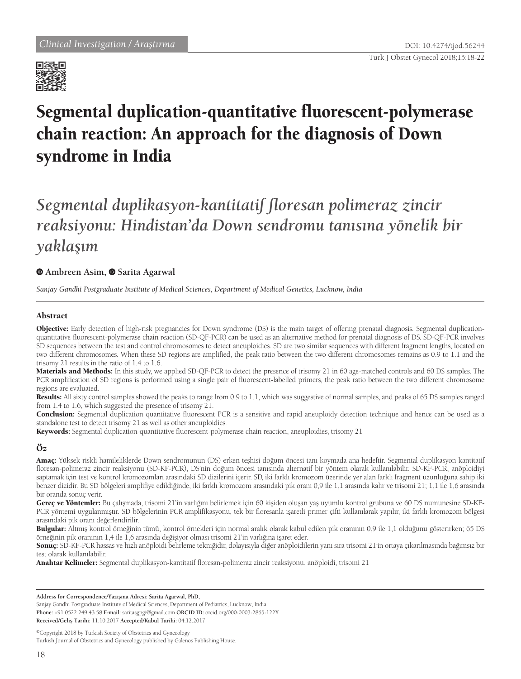

# Segmental duplication-quantitative fluorescent-polymerase chain reaction: An approach for the diagnosis of Down syndrome in India

# *Segmental duplikasyon-kantitatif floresan polimeraz zincir reaksiyonu: Hindistan'da Down sendromu tanısına yönelik bir yaklaşım*

### **Ambreen Asim,Sarita Agarwal**

*Sanjay Gandhi Postgraduate Institute of Medical Sciences, Department of Medical Genetics, Lucknow, India*

#### Abstract

Objective: Early detection of high-risk pregnancies for Down syndrome (DS) is the main target of offering prenatal diagnosis. Segmental duplicationquantitative fluorescent-polymerase chain reaction (SD-QF-PCR) can be used as an alternative method for prenatal diagnosis of DS. SD-QF-PCR involves SD sequences between the test and control chromosomes to detect aneuploidies. SD are two similar sequences with different fragment lengths, located on two different chromosomes. When these SD regions are amplified, the peak ratio between the two different chromosomes remains as 0.9 to 1.1 and the trisomy 21 results in the ratio of 1.4 to 1.6.

Materials and Methods: In this study, we applied SD-QF-PCR to detect the presence of trisomy 21 in 60 age-matched controls and 60 DS samples. The PCR amplification of SD regions is performed using a single pair of fluorescent-labelled primers, the peak ratio between the two different chromosome regions are evaluated.

Results: All sixty control samples showed the peaks to range from 0.9 to 1.1, which was suggestive of normal samples, and peaks of 65 DS samples ranged from 1.4 to 1.6, which suggested the presence of trisomy 21.

Conclusion: Segmental duplication quantitative fluorescent PCR is a sensitive and rapid aneuploidy detection technique and hence can be used as a standalone test to detect trisomy 21 as well as other aneuploidies.

Keywords: Segmental duplication-quantitative fluorescent-polymerase chain reaction, aneuploidies, trisomy 21

## Öz

Amaç: Yüksek riskli hamileliklerde Down sendromunun (DS) erken teşhisi doğum öncesi tanı koymada ana hedeftir. Segmental duplikasyon-kantitatif floresan-polimeraz zincir reaksiyonu (SD-KF-PCR), DS'nin doğum öncesi tanısında alternatif bir yöntem olarak kullanılabilir. SD-KF-PCR, anöploidiyi saptamak için test ve kontrol kromozomları arasındaki SD dizilerini içerir. SD, iki farklı kromozom üzerinde yer alan farklı fragment uzunluğuna sahip iki benzer dizidir. Bu SD bölgeleri amplifiye edildiğinde, iki farklı kromozom arasındaki pik oranı 0,9 ile 1,1 arasında kalır ve trisomi 21; 1,1 ile 1,6 arasında bir oranda sonuç verir.

Gereç ve Yöntemler: Bu çalışmada, trisomi 21'in varlığını belirlemek için 60 kişiden oluşan yaş uyumlu kontrol grubuna ve 60 DS numunesine SD-KF-PCR yöntemi uygulanmıştır. SD bölgelerinin PCR amplifikasyonu, tek bir floresanla işaretli primer çifti kullanılarak yapılır, iki farklı kromozom bölgesi arasındaki pik oranı değerlendirilir.

Bulgular: Altmış kontrol örneğinin tümü, kontrol örnekleri için normal aralık olarak kabul edilen pik oranının 0,9 ile 1,1 olduğunu gösterirken; 65 DS örneğinin pik oranının 1,4 ile 1,6 arasında değişiyor olması trisomi 21'in varlığına işaret eder.

Sonuç: SD-KF-PCR hassas ve hızlı anöploidi belirleme tekniğidir, dolayısıyla diğer anöploidilerin yanı sıra trisomi 21'in ortaya çıkarılmasında bağımsız bir test olarak kullanılabilir.

Anahtar Kelimeler: Segmental duplikasyon-kantitatif floresan-polimeraz zincir reaksiyonu, anöploidi, trisomi 21

**Address for Correspondence/Yazışma Adresi: Sarita Agarwal, PhD,**

Sanjay Gandhi Postgraduate Institute of Medical Sciences, Department of Pediatrics, Lucknow, India **Phone:** +91 0522 249 43 58 **E-mail:** saritasgpgi@gmail.com **ORCID ID:** orcid.org/000-0003-2865-122X **Received/Geliş Tarihi:** 11.10.2017 **Accepted/Kabul Tarihi:** 04.12.2017

©Copyright 2018 by Turkish Society of Obstetrics and Gynecology Turkish Journal of Obstetrics and Gynecology published by Galenos Publishing House.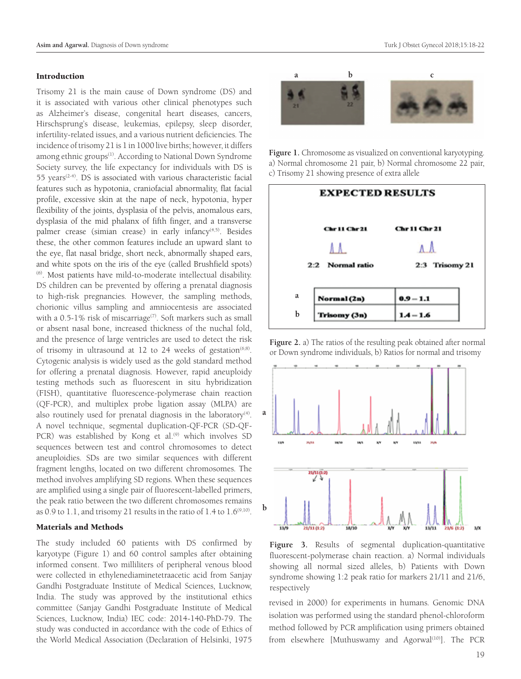#### Introduction

Trisomy 21 is the main cause of Down syndrome (DS) and it is associated with various other clinical phenotypes such as Alzheimer's disease, congenital heart diseases, cancers, Hirschsprung's disease, leukemias, epilepsy, sleep disorder, infertility-related issues, and a various nutrient deficiencies. The incidence of trisomy 21 is 1 in 1000 live births; however, it differs among ethnic groups<sup>(1)</sup>. According to National Down Syndrome Society survey, the life expectancy for individuals with DS is 55 years<sup>(2-4)</sup>. DS is associated with various characteristic facial features such as hypotonia, craniofacial abnormality, flat facial profile, excessive skin at the nape of neck, hypotonia, hyper flexibility of the joints, dysplasia of the pelvis, anomalous ears, dysplasia of the mid phalanx of fifth finger, and a transverse palmer crease (simian crease) in early infancy<sup>(4,5)</sup>. Besides these, the other common features include an upward slant to the eye, flat nasal bridge, short neck, abnormally shaped ears, and white spots on the iris of the eye (called Brushfield spots) (6). Most patients have mild-to-moderate intellectual disability. DS children can be prevented by offering a prenatal diagnosis to high-risk pregnancies. However, the sampling methods, chorionic villus sampling and amniocentesis are associated with a  $0.5$ -1% risk of miscarriage<sup>(7)</sup>. Soft markers such as small or absent nasal bone, increased thickness of the nuchal fold, and the presence of large ventricles are used to detect the risk of trisomy in ultrasound at 12 to 24 weeks of gestation<sup> $(6,8)$ </sup>. Cytogenic analysis is widely used as the gold standard method for offering a prenatal diagnosis. However, rapid aneuploidy testing methods such as fluorescent in situ hybridization (FISH), quantitative fluorescence-polymerase chain reaction (QF-PCR), and multiplex probe ligation assay (MLPA) are also routinely used for prenatal diagnosis in the laboratory $(4)$ . A novel technique, segmental duplication-QF-PCR (SD-QF-PCR) was established by Kong et al.<sup>(9)</sup> which involves SD sequences between test and control chromosomes to detect aneuploidies. SDs are two similar sequences with different fragment lengths, located on two different chromosomes. The method involves amplifying SD regions. When these sequences are amplified using a single pair of fluorescent-labelled primers, the peak ratio between the two different chromosomes remains as 0.9 to 1.1, and trisomy 21 results in the ratio of  $1.4$  to  $1.6^{(9,10)}$ .

#### Materials and Methods

The study included 60 patients with DS confirmed by karyotype (Figure 1) and 60 control samples after obtaining informed consent. Two milliliters of peripheral venous blood were collected in ethylenediaminetetraacetic acid from Sanjay Gandhi Postgraduate Institute of Medical Sciences, Lucknow, India. The study was approved by the institutional ethics committee (Sanjay Gandhi Postgraduate Institute of Medical Sciences, Lucknow, India) IEC code: 2014-140-PhD-79. The study was conducted in accordance with the code of Ethics of the World Medical Association (Declaration of Helsinki, 1975



**Figure 1.** Chromosome as visualized on conventional karyotyping. a) Normal chromosome 21 pair, b) Normal chromosome 22 pair, c) Trisomy 21 showing presence of extra allele



**Figure 2.** a) The ratios of the resulting peak obtained after normal or Down syndrome individuals, b) Ratios for normal and trisomy



**Figure 3.** Results of segmental duplication-quantitative fluorescent-polymerase chain reaction. a) Normal individuals showing all normal sized alleles, b) Patients with Down syndrome showing 1:2 peak ratio for markers 21/11 and 21/6, respectively

revised in 2000) for experiments in humans. Genomic DNA isolation was performed using the standard phenol-chloroform method followed by PCR amplification using primers obtained from elsewhere [Muthuswamy and Agorwal<sup>(10)</sup>]. The PCR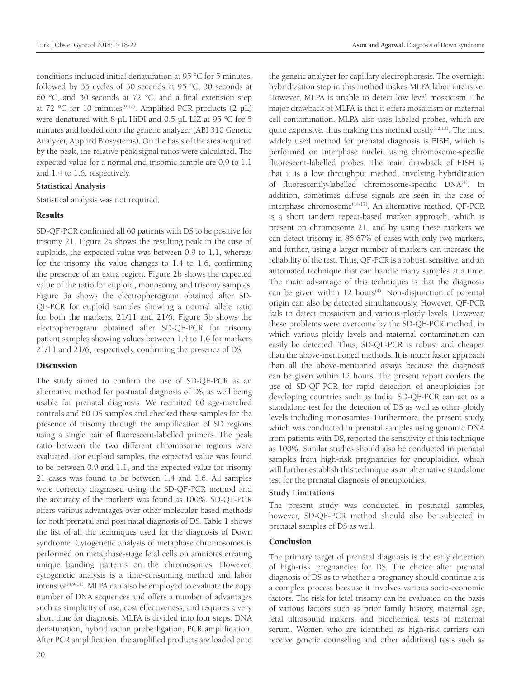conditions included initial denaturation at 95 °C for 5 minutes, followed by 35 cycles of 30 seconds at 95 °C, 30 seconds at 60 °C, and 30 seconds at 72 °C, and a final extension step at 72 °C for 10 minutes<sup>(9,10)</sup>. Amplified PCR products (2  $\mu$ L) were denatured with 8 µL HiDI and 0.5 µL LIZ at 95 °C for 5 minutes and loaded onto the genetic analyzer (ABI 310 Genetic Analyzer, Applied Biosystems). On the basis of the area acquired by the peak, the relative peak signal ratios were calculated. The expected value for a normal and trisomic sample are 0.9 to 1.1 and 1.4 to 1.6, respectively.

#### **Statistical Analysis**

Statistical analysis was not required.

#### Results

SD-QF-PCR confirmed all 60 patients with DS to be positive for trisomy 21. Figure 2a shows the resulting peak in the case of euploids, the expected value was between 0.9 to 1.1, whereas for the trisomy, the value changes to 1.4 to 1.6, confirming the presence of an extra region. Figure 2b shows the expected value of the ratio for euploid, monosomy, and trisomy samples. Figure 3a shows the electropherogram obtained after SD-QF-PCR for euploid samples showing a normal allele ratio for both the markers, 21/11 and 21/6. Figure 3b shows the electropherogram obtained after SD-QF-PCR for trisomy patient samples showing values between 1.4 to 1.6 for markers 21/11 and 21/6, respectively, confirming the presence of DS.

#### **Discussion**

The study aimed to confirm the use of SD-QF-PCR as an alternative method for postnatal diagnosis of DS, as well being usable for prenatal diagnosis. We recruited 60 age-matched controls and 60 DS samples and checked these samples for the presence of trisomy through the amplification of SD regions using a single pair of fluorescent-labelled primers. The peak ratio between the two different chromosome regions were evaluated. For euploid samples, the expected value was found to be between 0.9 and 1.1, and the expected value for trisomy 21 cases was found to be between 1.4 and 1.6. All samples were correctly diagnosed using the SD-QF-PCR method and the accuracy of the markers was found as 100%. SD-QF-PCR offers various advantages over other molecular based methods for both prenatal and post natal diagnosis of DS. Table 1 shows the list of all the techniques used for the diagnosis of Down syndrome. Cytogenetic analysis of metaphase chromosomes is performed on metaphase-stage fetal cells on amniotes creating unique banding patterns on the chromosomes. However, cytogenetic analysis is a time-consuming method and labor intensive<sup>(4,9-11)</sup>. MLPA can also be employed to evaluate the copy number of DNA sequences and offers a number of advantages such as simplicity of use, cost effectiveness, and requires a very short time for diagnosis. MLPA is divided into four steps: DNA denaturation, hybridization probe ligation, PCR amplification. After PCR amplification, the amplified products are loaded onto

the genetic analyzer for capillary electrophoresis. The overnight hybridization step in this method makes MLPA labor intensive. However, MLPA is unable to detect low level mosaicism. The major drawback of MLPA is that it offers mosaicism or maternal cell contamination. MLPA also uses labeled probes, which are quite expensive, thus making this method costly<sup>(12,13)</sup>. The most widely used method for prenatal diagnosis is FISH, which is performed on interphase nuclei, using chromosome-specific fluorescent-labelled probes. The main drawback of FISH is that it is a low throughput method, involving hybridization of fluorescently-labelled chromosome-specific DNA<sup>(4)</sup>. In addition, sometimes diffuse signals are seen in the case of interphase chromosome<sup>(14-17)</sup>. An alternative method, QF-PCR is a short tandem repeat-based marker approach, which is present on chromosome 21, and by using these markers we can detect trisomy in 86.67% of cases with only two markers, and further, using a larger number of markers can increase the reliability of the test. Thus, QF-PCR is a robust, sensitive, and an automated technique that can handle many samples at a time. The main advantage of this techniques is that the diagnosis can be given within 12 hours<sup>(4)</sup>. Non-disjunction of parental origin can also be detected simultaneously. However, QF-PCR fails to detect mosaicism and various ploidy levels. However, these problems were overcome by the SD-QF-PCR method, in which various ploidy levels and maternal contamination can easily be detected. Thus, SD-QF-PCR is robust and cheaper than the above-mentioned methods. It is much faster approach than all the above-mentioned assays because the diagnosis can be given within 12 hours. The present report confers the use of SD-QF-PCR for rapid detection of aneuploidies for developing countries such as India. SD-QF-PCR can act as a standalone test for the detection of DS as well as other ploidy levels including monosomies. Furthermore, the present study, which was conducted in prenatal samples using genomic DNA from patients with DS, reported the sensitivity of this technique as 100%. Similar studies should also be conducted in prenatal samples from high-risk pregnancies for aneuploidies, which will further establish this technique as an alternative standalone test for the prenatal diagnosis of aneuploidies.

#### **Study Limitations**

The present study was conducted in postnatal samples, however, SD-QF-PCR method should also be subjected in prenatal samples of DS as well.

#### Conclusion

The primary target of prenatal diagnosis is the early detection of high-risk pregnancies for DS. The choice after prenatal diagnosis of DS as to whether a pregnancy should continue a is a complex process because it involves various socio-economic factors. The risk for fetal trisomy can be evaluated on the basis of various factors such as prior family history, maternal age, fetal ultrasound makers, and biochemical tests of maternal serum. Women who are identified as high-risk carriers can receive genetic counseling and other additional tests such as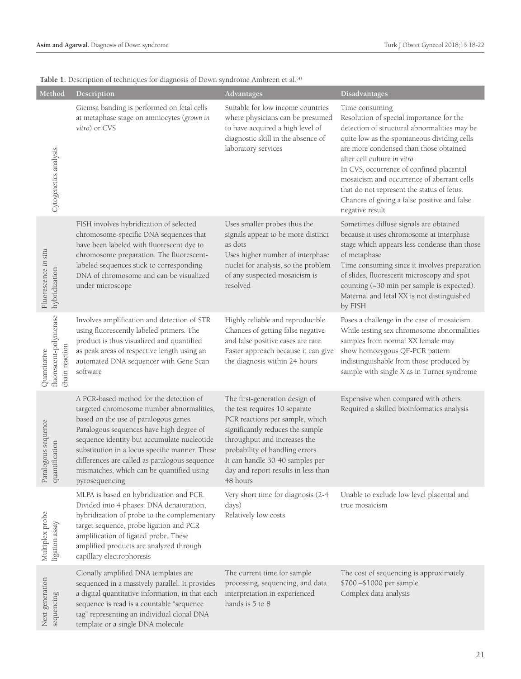| Method                                                   | Description                                                                                                                                                                                                                                                                                                                                                                                | Advantages                                                                                                                                                                                                                                                                                     | Disadvantages                                                                                                                                                                                                                                                                                                                                                                                                                                 |
|----------------------------------------------------------|--------------------------------------------------------------------------------------------------------------------------------------------------------------------------------------------------------------------------------------------------------------------------------------------------------------------------------------------------------------------------------------------|------------------------------------------------------------------------------------------------------------------------------------------------------------------------------------------------------------------------------------------------------------------------------------------------|-----------------------------------------------------------------------------------------------------------------------------------------------------------------------------------------------------------------------------------------------------------------------------------------------------------------------------------------------------------------------------------------------------------------------------------------------|
| Cytogenetics analysis                                    | Giemsa banding is performed on fetal cells<br>at metaphase stage on amniocytes (grown in<br>vitro) or CVS                                                                                                                                                                                                                                                                                  | Suitable for low income countries<br>where physicians can be presumed<br>to have acquired a high level of<br>diagnostic skill in the absence of<br>laboratory services                                                                                                                         | Time consuming<br>Resolution of special importance for the<br>detection of structural abnormalities may be<br>quite low as the spontaneous dividing cells<br>are more condensed than those obtained<br>after cell culture in vitro<br>In CVS, occurrence of confined placental<br>mosaicism and occurrence of aberrant cells<br>that do not represent the status of fetus.<br>Chances of giving a false positive and false<br>negative result |
| Fluorescence in situ<br>hybridization                    | FISH involves hybridization of selected<br>chromosome-specific DNA sequences that<br>have been labeled with fluorescent dye to<br>chromosome preparation. The fluorescent-<br>labeled sequences stick to corresponding<br>DNA of chromosome and can be visualized<br>under microscope                                                                                                      | Uses smaller probes thus the<br>signals appear to be more distinct<br>as dots<br>Uses higher number of interphase<br>nuclei for analysis, so the problem<br>of any suspected mosaicism is<br>resolved                                                                                          | Sometimes diffuse signals are obtained<br>because it uses chromosome at interphase<br>stage which appears less condense than those<br>of metaphase<br>Time consuming since it involves preparation<br>of slides, fluorescent microscopy and spot<br>counting (~30 min per sample is expected).<br>Maternal and fetal XX is not distinguished<br>by FISH                                                                                       |
| fluorescent-polymerase<br>chain reaction<br>Quantitative | Involves amplification and detection of STR<br>using fluorescently labeled primers. The<br>product is thus visualized and quantified<br>as peak areas of respective length using an<br>automated DNA sequencer with Gene Scan<br>software                                                                                                                                                  | Highly reliable and reproducible.<br>Chances of getting false negative<br>and false positive cases are rare.<br>Faster approach because it can give<br>the diagnosis within 24 hours                                                                                                           | Poses a challenge in the case of mosaicism.<br>While testing sex chromosome abnormalities<br>samples from normal XX female may<br>show homozygous QF-PCR pattern<br>indistinguishable from those produced by<br>sample with single X as in Turner syndrome                                                                                                                                                                                    |
| ogous sequence<br>quantification<br>Paral                | A PCR-based method for the detection of<br>targeted chromosome number abnormalities,<br>based on the use of paralogous genes.<br>Paralogous sequences have high degree of<br>sequence identity but accumulate nucleotide<br>substitution in a locus specific manner. These<br>differences are called as paralogous sequence<br>mismatches, which can be quantified using<br>pyrosequencing | The first-generation design of<br>the test requires 10 separate<br>PCR reactions per sample, which<br>significantly reduces the sample<br>throughput and increases the<br>probability of handling errors<br>It can handle 30-40 samples per<br>day and report results in less than<br>48 hours | Expensive when compared with others.<br>Required a skilled bioinformatics analysis                                                                                                                                                                                                                                                                                                                                                            |
| Multiplex probe<br>ligation assay                        | MLPA is based on hybridization and PCR.<br>Divided into 4 phases: DNA denaturation,<br>hybridization of probe to the complementary<br>target sequence, probe ligation and PCR<br>amplification of ligated probe. These<br>amplified products are analyzed through<br>capillary electrophoresis                                                                                             | Very short time for diagnosis (2-4<br>days)<br>Relatively low costs                                                                                                                                                                                                                            | Unable to exclude low level placental and<br>true mosaicism                                                                                                                                                                                                                                                                                                                                                                                   |
| Next generation<br>sequencing                            | Clonally amplified DNA templates are<br>sequenced in a massively parallel. It provides<br>a digital quantitative information, in that each<br>sequence is read is a countable "sequence<br>tag" representing an individual clonal DNA<br>template or a single DNA molecule                                                                                                                 | The current time for sample<br>processing, sequencing, and data<br>interpretation in experienced<br>hands is 5 to 8                                                                                                                                                                            | The cost of sequencing is approximately<br>\$700-\$1000 per sample.<br>Complex data analysis                                                                                                                                                                                                                                                                                                                                                  |

Table 1. Description of techniques for diagnosis of Down syndrome Ambreen et al.<sup>(4)</sup>